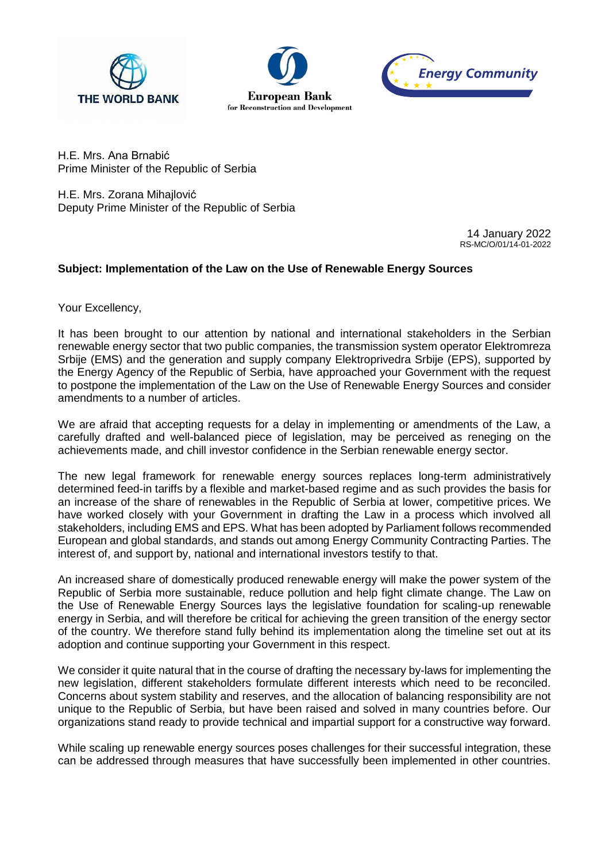





H.E. Mrs. [Ana Brnabić](https://en.wikipedia.org/wiki/Ana_Brnabi%C4%87) Prime Minister of the Republic of Serbia

H.E. Mrs. Zorana Mihajlović Deputy Prime Minister of the Republic of Serbia

> 14 January 2022 RS-MC/O/01/14-01-2022

## **Subject: Implementation of the Law on the Use of Renewable Energy Sources**

Your Excellency,

It has been brought to our attention by national and international stakeholders in the Serbian renewable energy sector that two public companies, the transmission system operator Elektromreza Srbije (EMS) and the generation and supply company Elektroprivedra Srbije (EPS), supported by the Energy Agency of the Republic of Serbia, have approached your Government with the request to postpone the implementation of the Law on the Use of Renewable Energy Sources and consider amendments to a number of articles.

We are afraid that accepting requests for a delay in implementing or amendments of the Law, a carefully drafted and well-balanced piece of legislation, may be perceived as reneging on the achievements made, and chill investor confidence in the Serbian renewable energy sector.

The new legal framework for renewable energy sources replaces long-term administratively determined feed-in tariffs by a flexible and market-based regime and as such provides the basis for an increase of the share of renewables in the Republic of Serbia at lower, competitive prices. We have worked closely with your Government in drafting the Law in a process which involved all stakeholders, including EMS and EPS. What has been adopted by Parliament follows recommended European and global standards, and stands out among Energy Community Contracting Parties. The interest of, and support by, national and international investors testify to that.

An increased share of domestically produced renewable energy will make the power system of the Republic of Serbia more sustainable, reduce pollution and help fight climate change. The Law on the Use of Renewable Energy Sources lays the legislative foundation for scaling-up renewable energy in Serbia, and will therefore be critical for achieving the green transition of the energy sector of the country. We therefore stand fully behind its implementation along the timeline set out at its adoption and continue supporting your Government in this respect.

We consider it quite natural that in the course of drafting the necessary by-laws for implementing the new legislation, different stakeholders formulate different interests which need to be reconciled. Concerns about system stability and reserves, and the allocation of balancing responsibility are not unique to the Republic of Serbia, but have been raised and solved in many countries before. Our organizations stand ready to provide technical and impartial support for a constructive way forward.

While scaling up renewable energy sources poses challenges for their successful integration, these can be addressed through measures that have successfully been implemented in other countries.